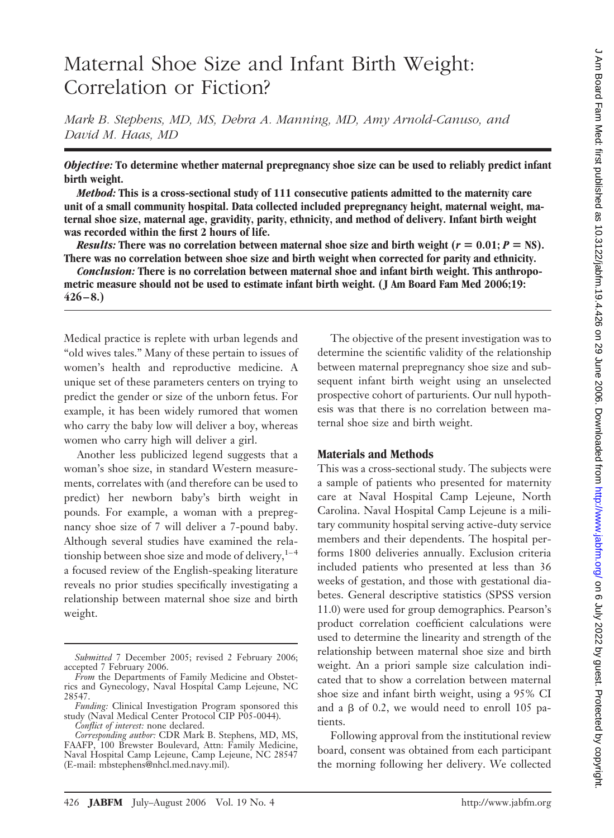# Maternal Shoe Size and Infant Birth Weight: Correlation or Fiction?

*Mark B. Stephens, MD, MS, Debra A. Manning, MD, Amy Arnold-Canuso, and David M. Haas, MD*

*Objective:* **To determine whether maternal prepregnancy shoe size can be used to reliably predict infant birth weight.**

*Method:* **This is a cross-sectional study of 111 consecutive patients admitted to the maternity care unit of a small community hospital. Data collected included prepregnancy height, maternal weight, maternal shoe size, maternal age, gravidity, parity, ethnicity, and method of delivery. Infant birth weight was recorded within the first 2 hours of life.**

*Results:* There was no correlation between maternal shoe size and birth weight ( $r = 0.01; P = NS$ ). **There was no correlation between shoe size and birth weight when corrected for parity and ethnicity.**

*Conclusion:* **There is no correlation between maternal shoe and infant birth weight. This anthropometric measure should not be used to estimate infant birth weight. ( J Am Board Fam Med 2006;19: 426 – 8.)**

Medical practice is replete with urban legends and "old wives tales." Many of these pertain to issues of women's health and reproductive medicine. A unique set of these parameters centers on trying to predict the gender or size of the unborn fetus. For example, it has been widely rumored that women who carry the baby low will deliver a boy, whereas women who carry high will deliver a girl.

Another less publicized legend suggests that a woman's shoe size, in standard Western measurements, correlates with (and therefore can be used to predict) her newborn baby's birth weight in pounds. For example, a woman with a prepregnancy shoe size of 7 will deliver a 7-pound baby. Although several studies have examined the relationship between shoe size and mode of delivery, $1-4$ a focused review of the English-speaking literature reveals no prior studies specifically investigating a relationship between maternal shoe size and birth weight.

The objective of the present investigation was to determine the scientific validity of the relationship between maternal prepregnancy shoe size and subsequent infant birth weight using an unselected prospective cohort of parturients. Our null hypothesis was that there is no correlation between maternal shoe size and birth weight.

### **Materials and Methods**

This was a cross-sectional study. The subjects were a sample of patients who presented for maternity care at Naval Hospital Camp Lejeune, North Carolina. Naval Hospital Camp Lejeune is a military community hospital serving active-duty service members and their dependents. The hospital performs 1800 deliveries annually. Exclusion criteria included patients who presented at less than 36 weeks of gestation, and those with gestational diabetes. General descriptive statistics (SPSS version 11.0) were used for group demographics. Pearson's product correlation coefficient calculations were used to determine the linearity and strength of the relationship between maternal shoe size and birth weight. An a priori sample size calculation indicated that to show a correlation between maternal shoe size and infant birth weight, using a 95% CI and a  $\beta$  of 0.2, we would need to enroll 105 patients.

Following approval from the institutional review board, consent was obtained from each participant the morning following her delivery. We collected

*Submitted* 7 December 2005; revised 2 February 2006; accepted 7 February 2006.

*From* the Departments of Family Medicine and Obstetrics and Gynecology, Naval Hospital Camp Lejeune, NC 28547.

*Funding:* Clinical Investigation Program sponsored this study (Naval Medical Center Protocol CIP P05-0044).

*Conflict of interest:* none declared.

*Corresponding author:* CDR Mark B. Stephens, MD, MS, FAAFP, 100 Brewster Boulevard, Attn: Family Medicine, Naval Hospital Camp Lejeune, Camp Lejeune, NC 28547 (E-mail: mbstephens@nhcl.med.navy.mil).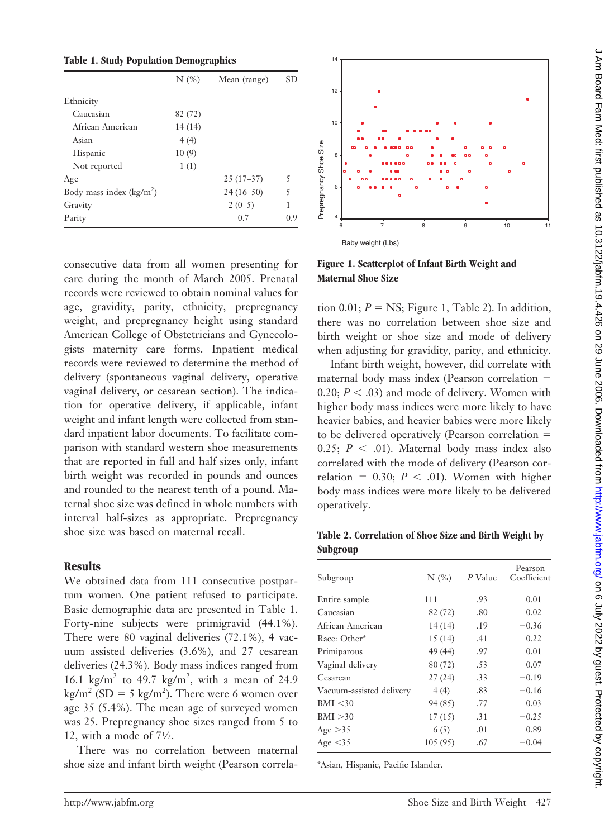|  |  |  |  | <b>Table 1. Study Population Demographics</b> |
|--|--|--|--|-----------------------------------------------|
|--|--|--|--|-----------------------------------------------|

|                           | $N$ $(\%)$ | Mean (range) | SD  |
|---------------------------|------------|--------------|-----|
| Ethnicity                 |            |              |     |
| Caucasian                 | 82 (72)    |              |     |
| African American          | 14(14)     |              |     |
| Asian                     | 4(4)       |              |     |
| Hispanic                  | 10(9)      |              |     |
| Not reported              | 1(1)       |              |     |
| Age                       |            | $25(17-37)$  | 5   |
| Body mass index $(kg/m2)$ |            | $24(16-50)$  | 5   |
| Gravity                   |            | $2(0-5)$     | 1   |
| Parity                    |            | 0.7          | 0.9 |

consecutive data from all women presenting for care during the month of March 2005. Prenatal records were reviewed to obtain nominal values for age, gravidity, parity, ethnicity, prepregnancy weight, and prepregnancy height using standard American College of Obstetricians and Gynecologists maternity care forms. Inpatient medical records were reviewed to determine the method of delivery (spontaneous vaginal delivery, operative vaginal delivery, or cesarean section). The indication for operative delivery, if applicable, infant weight and infant length were collected from standard inpatient labor documents. To facilitate comparison with standard western shoe measurements that are reported in full and half sizes only, infant birth weight was recorded in pounds and ounces and rounded to the nearest tenth of a pound. Maternal shoe size was defined in whole numbers with interval half-sizes as appropriate. Prepregnancy shoe size was based on maternal recall.

#### **Results**

We obtained data from 111 consecutive postpartum women. One patient refused to participate. Basic demographic data are presented in Table 1. Forty-nine subjects were primigravid (44.1%). There were 80 vaginal deliveries (72.1%), 4 vacuum assisted deliveries (3.6%), and 27 cesarean deliveries (24.3%). Body mass indices ranged from 16.1 kg/m<sup>2</sup> to 49.7 kg/m<sup>2</sup>, with a mean of 24.9  $\text{kg/m}^2$  (SD = 5 kg/m<sup>2</sup>). There were 6 women over age 35 (5.4%). The mean age of surveyed women was 25. Prepregnancy shoe sizes ranged from 5 to 12, with a mode of 71⁄2.

There was no correlation between maternal shoe size and infant birth weight (Pearson correla-



**Figure 1. Scatterplot of Infant Birth Weight and Maternal Shoe Size**

tion  $0.01; P = \text{NS}$ ; Figure 1, Table 2). In addition, there was no correlation between shoe size and birth weight or shoe size and mode of delivery when adjusting for gravidity, parity, and ethnicity.

Infant birth weight, however, did correlate with maternal body mass index (Pearson correlation  $=$ 0.20;  $P < .03$ ) and mode of delivery. Women with higher body mass indices were more likely to have heavier babies, and heavier babies were more likely to be delivered operatively (Pearson correlation  $=$ 0.25;  $P < .01$ ). Maternal body mass index also correlated with the mode of delivery (Pearson correlation =  $0.30; P < .01$ ). Women with higher body mass indices were more likely to be delivered operatively.

**Table 2. Correlation of Shoe Size and Birth Weight by Subgroup**

| Subgroup                 | N(%)    | P Value | Pearson<br>Coefficient |
|--------------------------|---------|---------|------------------------|
| Entire sample            | 111     | .93     | 0.01                   |
| Caucasian                | 82 (72) | .80     | 0.02                   |
| African American         | 14(14)  | .19     | $-0.36$                |
| Race: Other*             | 15(14)  | .41     | 0.22                   |
| Primiparous              | 49 (44) | .97     | 0.01                   |
| Vaginal delivery         | 80 (72) | .53     | 0.07                   |
| Cesarean                 | 27(24)  | .33     | $-0.19$                |
| Vacuum-assisted delivery | 4(4)    | .83     | $-0.16$                |
| BMI < 30                 | 94 (85) | .77     | 0.03                   |
| BMI > 30                 | 17(15)  | .31     | $-0.25$                |
| Age $>35$                | 6(5)    | .01     | 0.89                   |
| Age $<$ 35               | 105(95) | .67     | $-0.04$                |

\*Asian, Hispanic, Pacific Islander.